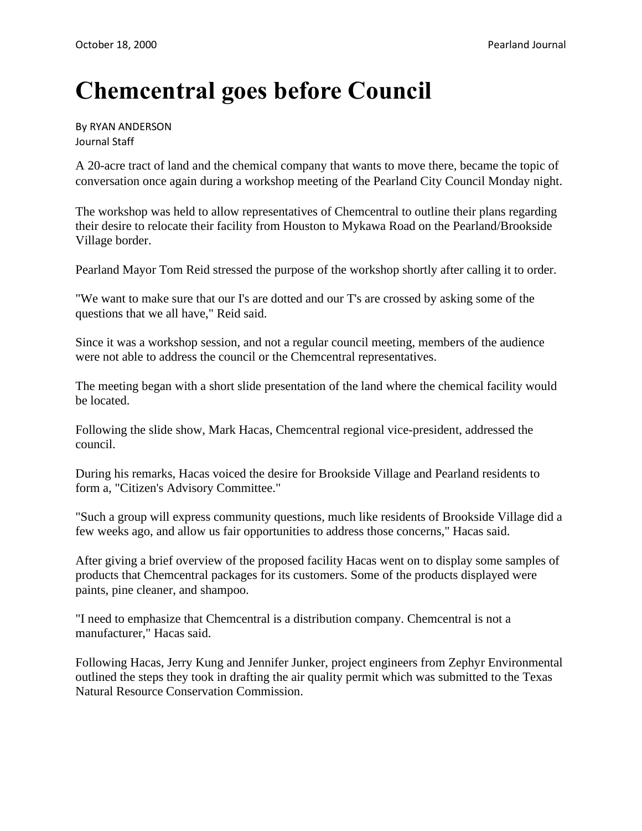## **Chemcentral goes before Council**

By RYAN ANDERSON Journal Staff

A 20-acre tract of land and the chemical company that wants to move there, became the topic of conversation once again during a workshop meeting of the Pearland City Council Monday night.

The workshop was held to allow representatives of Chemcentral to outline their plans regarding their desire to relocate their facility from Houston to Mykawa Road on the Pearland/Brookside Village border.

Pearland Mayor Tom Reid stressed the purpose of the workshop shortly after calling it to order.

"We want to make sure that our I's are dotted and our T's are crossed by asking some of the questions that we all have," Reid said.

Since it was a workshop session, and not a regular council meeting, members of the audience were not able to address the council or the Chemcentral representatives.

The meeting began with a short slide presentation of the land where the chemical facility would be located.

Following the slide show, Mark Hacas, Chemcentral regional vice-president, addressed the council.

During his remarks, Hacas voiced the desire for Brookside Village and Pearland residents to form a, "Citizen's Advisory Committee."

"Such a group will express community questions, much like residents of Brookside Village did a few weeks ago, and allow us fair opportunities to address those concerns," Hacas said.

After giving a brief overview of the proposed facility Hacas went on to display some samples of products that Chemcentral packages for its customers. Some of the products displayed were paints, pine cleaner, and shampoo.

"I need to emphasize that Chemcentral is a distribution company. Chemcentral is not a manufacturer," Hacas said.

Following Hacas, Jerry Kung and Jennifer Junker, project engineers from Zephyr Environmental outlined the steps they took in drafting the air quality permit which was submitted to the Texas Natural Resource Conservation Commission.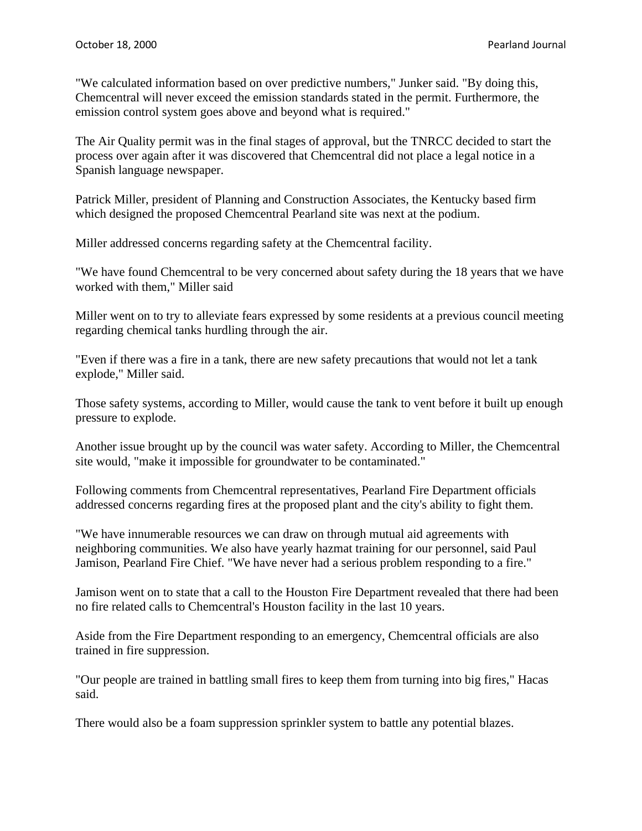"We calculated information based on over predictive numbers," Junker said. "By doing this, Chemcentral will never exceed the emission standards stated in the permit. Furthermore, the emission control system goes above and beyond what is required."

The Air Quality permit was in the final stages of approval, but the TNRCC decided to start the process over again after it was discovered that Chemcentral did not place a legal notice in a Spanish language newspaper.

Patrick Miller, president of Planning and Construction Associates, the Kentucky based firm which designed the proposed Chemcentral Pearland site was next at the podium.

Miller addressed concerns regarding safety at the Chemcentral facility.

"We have found Chemcentral to be very concerned about safety during the 18 years that we have worked with them," Miller said

Miller went on to try to alleviate fears expressed by some residents at a previous council meeting regarding chemical tanks hurdling through the air.

"Even if there was a fire in a tank, there are new safety precautions that would not let a tank explode," Miller said.

Those safety systems, according to Miller, would cause the tank to vent before it built up enough pressure to explode.

Another issue brought up by the council was water safety. According to Miller, the Chemcentral site would, "make it impossible for groundwater to be contaminated."

Following comments from Chemcentral representatives, Pearland Fire Department officials addressed concerns regarding fires at the proposed plant and the city's ability to fight them.

"We have innumerable resources we can draw on through mutual aid agreements with neighboring communities. We also have yearly hazmat training for our personnel, said Paul Jamison, Pearland Fire Chief. "We have never had a serious problem responding to a fire."

Jamison went on to state that a call to the Houston Fire Department revealed that there had been no fire related calls to Chemcentral's Houston facility in the last 10 years.

Aside from the Fire Department responding to an emergency, Chemcentral officials are also trained in fire suppression.

"Our people are trained in battling small fires to keep them from turning into big fires," Hacas said.

There would also be a foam suppression sprinkler system to battle any potential blazes.